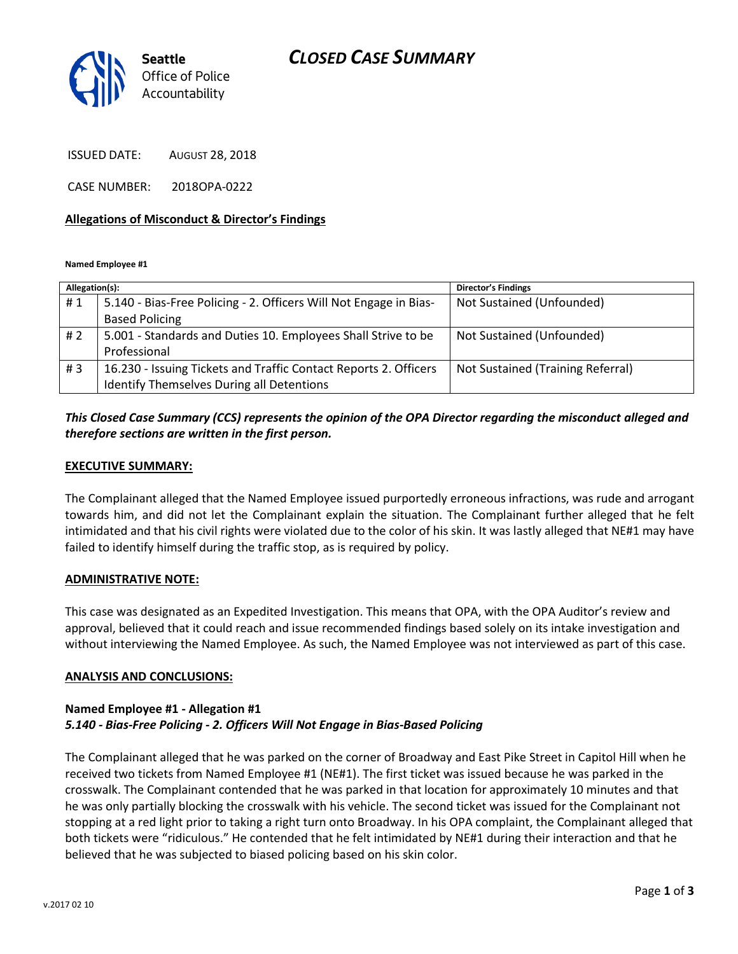# *CLOSED CASE SUMMARY*



ISSUED DATE: AUGUST 28, 2018

CASE NUMBER: 2018OPA-0222

#### **Allegations of Misconduct & Director's Findings**

**Named Employee #1**

| Allegation(s): |                                                                   | <b>Director's Findings</b>        |
|----------------|-------------------------------------------------------------------|-----------------------------------|
| #1             | 5.140 - Bias-Free Policing - 2. Officers Will Not Engage in Bias- | Not Sustained (Unfounded)         |
|                | <b>Based Policing</b>                                             |                                   |
| #2             | 5.001 - Standards and Duties 10. Employees Shall Strive to be     | Not Sustained (Unfounded)         |
|                | Professional                                                      |                                   |
| #3             | 16.230 - Issuing Tickets and Traffic Contact Reports 2. Officers  | Not Sustained (Training Referral) |
|                | Identify Themselves During all Detentions                         |                                   |

## *This Closed Case Summary (CCS) represents the opinion of the OPA Director regarding the misconduct alleged and therefore sections are written in the first person.*

#### **EXECUTIVE SUMMARY:**

The Complainant alleged that the Named Employee issued purportedly erroneous infractions, was rude and arrogant towards him, and did not let the Complainant explain the situation. The Complainant further alleged that he felt intimidated and that his civil rights were violated due to the color of his skin. It was lastly alleged that NE#1 may have failed to identify himself during the traffic stop, as is required by policy.

#### **ADMINISTRATIVE NOTE:**

This case was designated as an Expedited Investigation. This means that OPA, with the OPA Auditor's review and approval, believed that it could reach and issue recommended findings based solely on its intake investigation and without interviewing the Named Employee. As such, the Named Employee was not interviewed as part of this case.

#### **ANALYSIS AND CONCLUSIONS:**

#### **Named Employee #1 - Allegation #1** *5.140 - Bias-Free Policing - 2. Officers Will Not Engage in Bias-Based Policing*

The Complainant alleged that he was parked on the corner of Broadway and East Pike Street in Capitol Hill when he received two tickets from Named Employee #1 (NE#1). The first ticket was issued because he was parked in the crosswalk. The Complainant contended that he was parked in that location for approximately 10 minutes and that he was only partially blocking the crosswalk with his vehicle. The second ticket was issued for the Complainant not stopping at a red light prior to taking a right turn onto Broadway. In his OPA complaint, the Complainant alleged that both tickets were "ridiculous." He contended that he felt intimidated by NE#1 during their interaction and that he believed that he was subjected to biased policing based on his skin color.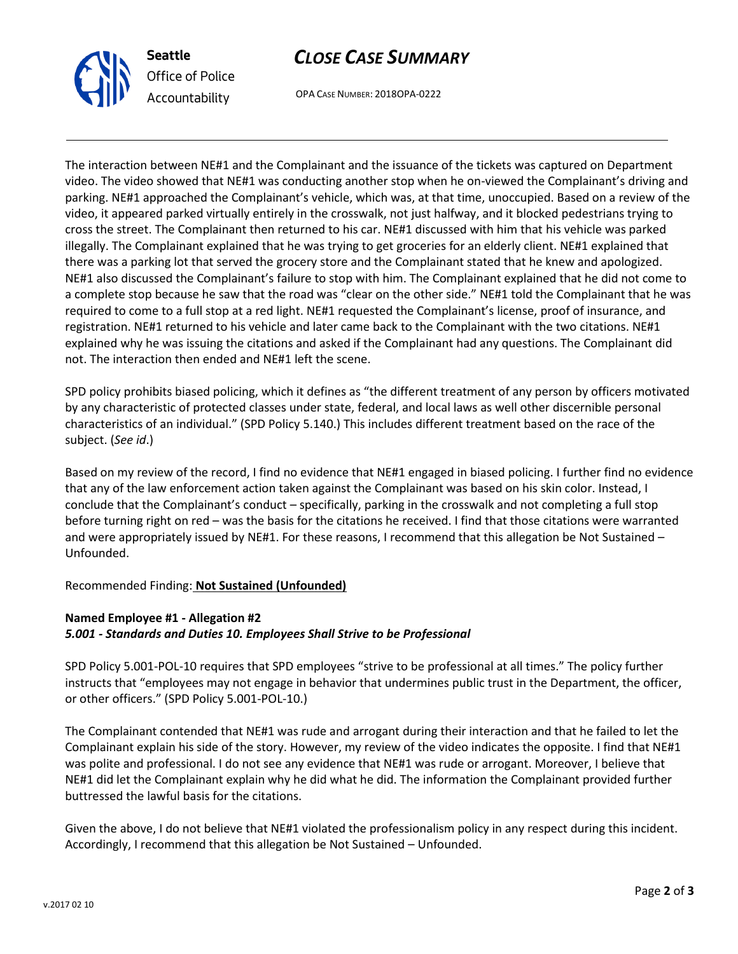

**Seattle** *Office of Police Accountability*

OPA CASE NUMBER: 2018OPA-0222

The interaction between NE#1 and the Complainant and the issuance of the tickets was captured on Department video. The video showed that NE#1 was conducting another stop when he on-viewed the Complainant's driving and parking. NE#1 approached the Complainant's vehicle, which was, at that time, unoccupied. Based on a review of the video, it appeared parked virtually entirely in the crosswalk, not just halfway, and it blocked pedestrians trying to cross the street. The Complainant then returned to his car. NE#1 discussed with him that his vehicle was parked illegally. The Complainant explained that he was trying to get groceries for an elderly client. NE#1 explained that there was a parking lot that served the grocery store and the Complainant stated that he knew and apologized. NE#1 also discussed the Complainant's failure to stop with him. The Complainant explained that he did not come to a complete stop because he saw that the road was "clear on the other side." NE#1 told the Complainant that he was required to come to a full stop at a red light. NE#1 requested the Complainant's license, proof of insurance, and registration. NE#1 returned to his vehicle and later came back to the Complainant with the two citations. NE#1 explained why he was issuing the citations and asked if the Complainant had any questions. The Complainant did not. The interaction then ended and NE#1 left the scene.

SPD policy prohibits biased policing, which it defines as "the different treatment of any person by officers motivated by any characteristic of protected classes under state, federal, and local laws as well other discernible personal characteristics of an individual." (SPD Policy 5.140.) This includes different treatment based on the race of the subject. (*See id*.)

Based on my review of the record, I find no evidence that NE#1 engaged in biased policing. I further find no evidence that any of the law enforcement action taken against the Complainant was based on his skin color. Instead, I conclude that the Complainant's conduct – specifically, parking in the crosswalk and not completing a full stop before turning right on red – was the basis for the citations he received. I find that those citations were warranted and were appropriately issued by NE#1. For these reasons, I recommend that this allegation be Not Sustained – Unfounded.

Recommended Finding: **Not Sustained (Unfounded)**

# **Named Employee #1 - Allegation #2** *5.001 - Standards and Duties 10. Employees Shall Strive to be Professional*

SPD Policy 5.001-POL-10 requires that SPD employees "strive to be professional at all times." The policy further instructs that "employees may not engage in behavior that undermines public trust in the Department, the officer, or other officers." (SPD Policy 5.001-POL-10.)

The Complainant contended that NE#1 was rude and arrogant during their interaction and that he failed to let the Complainant explain his side of the story. However, my review of the video indicates the opposite. I find that NE#1 was polite and professional. I do not see any evidence that NE#1 was rude or arrogant. Moreover, I believe that NE#1 did let the Complainant explain why he did what he did. The information the Complainant provided further buttressed the lawful basis for the citations.

Given the above, I do not believe that NE#1 violated the professionalism policy in any respect during this incident. Accordingly, I recommend that this allegation be Not Sustained – Unfounded.